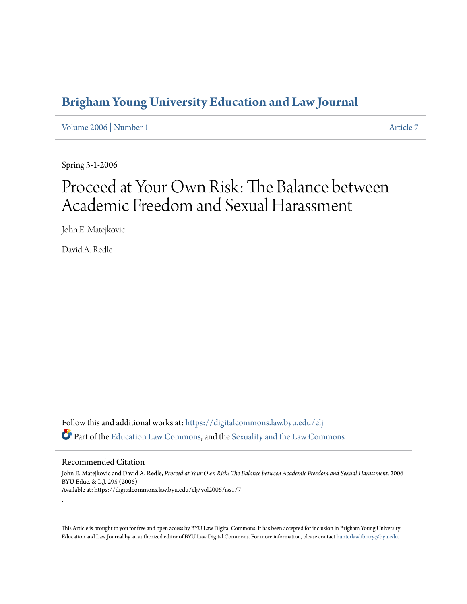## **[Brigham Young University Education and Law Journal](https://digitalcommons.law.byu.edu/elj?utm_source=digitalcommons.law.byu.edu%2Felj%2Fvol2006%2Fiss1%2F7&utm_medium=PDF&utm_campaign=PDFCoverPages)**

[Volume 2006](https://digitalcommons.law.byu.edu/elj/vol2006?utm_source=digitalcommons.law.byu.edu%2Felj%2Fvol2006%2Fiss1%2F7&utm_medium=PDF&utm_campaign=PDFCoverPages) | [Number 1](https://digitalcommons.law.byu.edu/elj/vol2006/iss1?utm_source=digitalcommons.law.byu.edu%2Felj%2Fvol2006%2Fiss1%2F7&utm_medium=PDF&utm_campaign=PDFCoverPages) [Article 7](https://digitalcommons.law.byu.edu/elj/vol2006/iss1/7?utm_source=digitalcommons.law.byu.edu%2Felj%2Fvol2006%2Fiss1%2F7&utm_medium=PDF&utm_campaign=PDFCoverPages)

Spring 3-1-2006

# Proceed at Your Own Risk: The Balance between Academic Freedom and Sexual Harassment

John E. Matejkovic

David A. Redle

Follow this and additional works at: [https://digitalcommons.law.byu.edu/elj](https://digitalcommons.law.byu.edu/elj?utm_source=digitalcommons.law.byu.edu%2Felj%2Fvol2006%2Fiss1%2F7&utm_medium=PDF&utm_campaign=PDFCoverPages) Part of the [Education Law Commons](http://network.bepress.com/hgg/discipline/596?utm_source=digitalcommons.law.byu.edu%2Felj%2Fvol2006%2Fiss1%2F7&utm_medium=PDF&utm_campaign=PDFCoverPages), and the [Sexuality and the Law Commons](http://network.bepress.com/hgg/discipline/877?utm_source=digitalcommons.law.byu.edu%2Felj%2Fvol2006%2Fiss1%2F7&utm_medium=PDF&utm_campaign=PDFCoverPages)

#### Recommended Citation

.

John E. Matejkovic and David A. Redle, *Proceed at Your Own Risk: The Balance between Academic Freedom and Sexual Harassment*, 2006 BYU Educ. & L.J. 295 (2006). Available at: https://digitalcommons.law.byu.edu/elj/vol2006/iss1/7

This Article is brought to you for free and open access by BYU Law Digital Commons. It has been accepted for inclusion in Brigham Young University Education and Law Journal by an authorized editor of BYU Law Digital Commons. For more information, please contact [hunterlawlibrary@byu.edu.](mailto:hunterlawlibrary@byu.edu)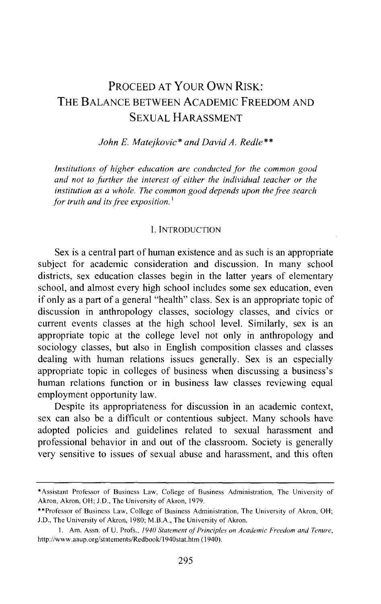### PROCEED AT YOUR OWN RISK: THE BALANCE BETWEEN ACADEMIC FREEDOM AND SEXUAL HARASSMENT

*John E. Matejkovic\* and David A. Redle\*\** 

*Institutions of higher education are conducted for the common good and not to further the interest of either the individual teacher or the institution as a whole. The common good depends upon the free search for truth and its free exposition.* <sup>1</sup>

#### l. INTRODUCTION

Sex is a central part of human existence and as such is an appropriate subject for academic consideration and discussion. In many school districts, sex education classes begin in the latter years of elementary school, and almost every high school includes some sex education, even if only as a part of a general "health" class. Sex is an appropriate topic of discussion in anthropology classes, sociology classes, and civics or current events classes at the high school level. Similarly, sex is an appropriate topic at the college level not only in anthropology and sociology classes, but also in English composition classes and classes dealing with human relations issues generally. Sex is an especially appropriate topic in colleges of business when discussing a business's human relations function or in business law classes reviewing equal employment opportunity law.

Despite its appropriateness for discussion in an academic context, sex can also be a difficult or contentious subject. Many schools have adopted policies and guidelines related to sexual harassment and professional behavior in and out of the classroom. Society is generally very sensitive to issues of sexual abuse and harassment, and this often

<sup>\*</sup>Assistant Professor of Business Law, College of Business Administration, The University of Akron, Akron, OH; J.D., The University of Akron, 1979.

<sup>\*\*</sup>Professor of Business Law, College of Business Administration, The University of Akron, OH; J.D., The University of Akron, 1980; M.B.A., The University of Akron.

<sup>1.</sup> Am. Assn. of U. Profs., *1940 Statement of Principles on Academic Freedom and Tenure*, http://www.aaup.org/statements/Redbook/1940stat.htm ( 1940).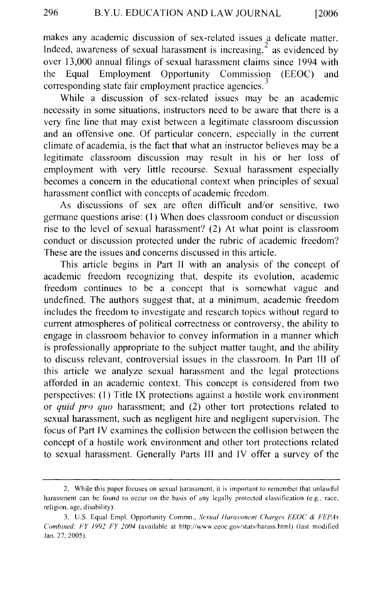makes any academic discussion of sex-related issues a delicate matter. Indeed, awareness of sexual harassment is increasing,  $2^{2}$  as evidenced by over 13,000 annual filings of sexual harassment claims since 1994 with the Equal Employment Opportunity Commission (EEOC) and corresponding state fair employment practice agencies.<sup>3</sup>

While a discussion of sex-related issues may be an academic necessity in some situations, instructors need to be aware that there is a very fine line that may exist between a legitimate classroom discussion and an offensive one. Of particular concern, especially in the current climate of academia, is the fact that what an instructor believes may be a legitimate classroom discussion may result in his or her loss of employment with very little recourse. Sexual harassment especially becomes a concern in the educational context when principles of sexual harassment conflict with concepts of academic freedom.

As discussions of sex are often difficult and/or sensitive, two germane questions arise: (1) When does classroom conduct or discussion rise to the level of sexual harassment? (2) At what point is classroom conduct or discussion protected under the rubric of academic freedom? These are the issues and concerns discussed in this article.

This article begins in Part II with an analysis of the concept of academic freedom recognizing that, despite its evolution, academic freedom continues to be a concept that is somewhat vague and undefined. The authors suggest that, at a minimum, academic freedom includes the freedom to investigate and research topics without regard to current atmospheres of political correctness or controversy, the ability to engage in classroom behavior to convey information in a manner which is professionally appropriate to the subject matter taught, and the ability to discuss relevant, controversial issues in the classroom. In Part III of this article we analyze sexual harassment and the legal protections afforded in an academic context. This concept is considered from two perspectives: (I) Title IX protections against a hostile work environment or *quid pro quo* harassment; and (2) other tort protections related to sexual harassment, such as negligent hire and negligent supervision. The focus of Part IV examines the collision between the collision between the concept of a hostile work environment and other tort protections related to sexual harassment. Generally Parts III and IV offer a survey of the

<sup>2.</sup> While this paper focuses on sexual harassment, it is important to remember that unlawful harassment can be found to occur on the basis of any legally protected classification (e.g., race, religion, age, disability).

<sup>3.</sup> U.S. Equal Empl. Opportunity Commn., *Sexual llarassment Charges EEOC* & *FEPAs Combined: FY 1992 -FY 2004* (available at http://www.ceoc.gov/stats/harass.html) (last modified Jan. 27, 2005 ).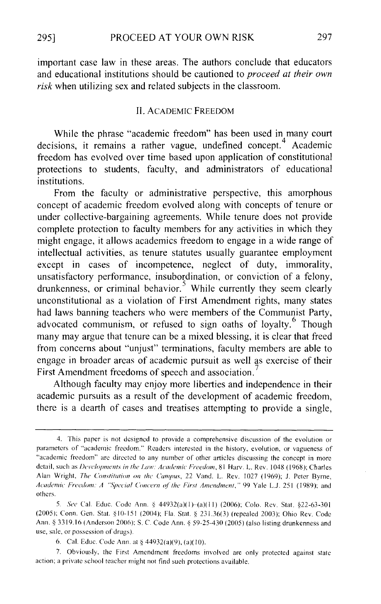important case law in these areas. The authors conclude that educators and educational institutions should be cautioned to *proceed at their own risk* when utilizing sex and related subjects in the classroom.

#### II. ACADEMIC FREEDOM

While the phrase "academic freedom" has been used in many court decisions, it remains a rather vague, undefined concept.<sup>4</sup> Academic freedom has evolved over time based upon application of constitutional protections to students, faculty, and administrators of educational institutions.

From the faculty or administrative perspective, this amorphous concept of academic freedom evolved along with concepts of tenure or under collective-bargaining agreements. While tenure does not provide complete protection to faculty members for any activities in which they might engage, it allows academics freedom to engage in a wide range of intellectual activities, as tenure statutes usually guarantee employment except in cases of incompetence, neglect of duty, immorality, unsatisfactory performance, insubordination, or conviction of a felony, drunkenness, or criminal behavior.<sup>5</sup> While currently they seem clearly unconstitutional as a violation of First Amendment rights, many states had laws banning teachers who were members of the Communist Party, advocated communism, or refused to sign oaths of loyalty.<sup>6</sup> Though many may argue that tenure can be a mixed blessing, it is clear that freed from concerns about "unjust" terminations, faculty members are able to engage in broader areas of academic pursuit as well as exercise of their First Amendment freedoms of speech and association.

Although faculty may enjoy more liberties and independence in their academic pursuits as a result of the development of academic freedom, there is a dearth of cases and treatises attempting to provide a single,

<sup>4.</sup> This paper is not designed to provide a comprehensive discussion of the evolution or parameters of "academic freedom." Readers interested in the history, evolution, or vagueness of "academic freedom" arc directed to any number of other articles discussing the concept in more detail, such as *Developments in the Law: Academic Freedom*, 81 Harv. L. Rev. 1048 (1968); Charles Alan Wright, *The Constitution on the Campus*, 22 Vand. L. Rev. 1027 (1969); J. Peter Byrne, Academic Freedom: A "Special Concern of the First Amendment," 99 Yale L.J. 251 (1989); and others.

<sup>5.</sup> *See* Cal. Educ. Code Ann. § 44932(a)(1)-(a)(11) (2006); Colo. Rev. Stat. §22-63-301 (2005); Conn. Gen. Stat. §10-151 (2004); Fla. Stat. § 231.36(3) (repealed 2003); Ohio Rev. Code Ann. § 3319.16 (Anderson 2006); S. C. Code Ann. § 59-25-430 (2005) (also listing drunkenness and use, sale, or possession of drugs).

<sup>6.</sup> Cal. Educ. Code Ann. at  $§$  44932(a)(9), (a)(10).

<sup>7.</sup> Obviously. the First Amendment freedoms involved are only protected against state action; a private school teacher might not find such protections available.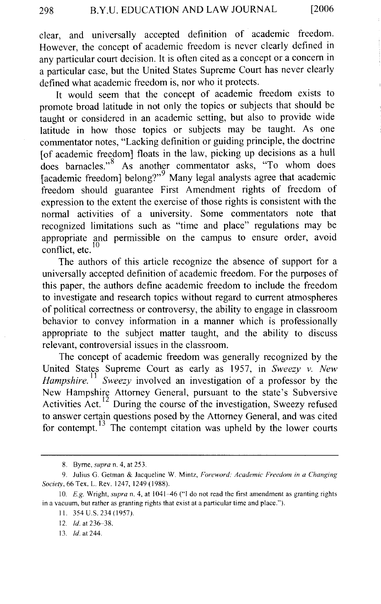clear, and universally accepted definition of academic freedom. However, the concept of academic freedom is never clearly defined in any particular court decision. It is often cited as a concept or a concern in a particular case, but the United States Supreme Court has never clearly defined what academic freedom is, nor who it protects.

It would seem that the concept of academic freedom exists to promote broad latitude in not only the topics or subjects that should be taught or considered in an academic setting, but also to provide wide latitude in how those topics or subjects may be taught. As one commentator notes, "Lacking definition or guiding principle, the doctrine [of academic freedom] floats in the law, picking up decisions as a hull does barnacles."<sup>8</sup> As another commentator asks, "To whom does [academic freedom] belong?"9 Many legal analysts agree that academic freedom should guarantee First Amendment rights of freedom of expression to the extent the exercise of those rights is consistent with the normal activities of a university. Some commentators note that recognized limitations such as "time and place" regulations may be appropriate and permissible on the campus to ensure order, avoid conflict, etc.  $10$ 

The authors of this article recognize the absence of support for a universally accepted definition of academic freedom. For the purposes of this paper, the authors define academic freedom to include the freedom to investigate and research topics without regard to current atmospheres of political correctness or controversy, the ability to engage in classroom behavior to convey information in a manner which is professionally appropriate to the subject matter taught, and the ability to discuss relevant, controversial issues in the classroom.

The concept of academic freedom was generally recognized by the United States Supreme Court as early as 1957, in *Sweezy v. New Hampshire.*<sup>11</sup> *Sweezy* involved an investigation of a professor by the New Hampshire Attorney General, pursuant to the state's Subversive Activities Act.<sup>12</sup> During the course of the investigation, Sweezy refused to answer certain questions posed by the Attorney General, and was cited for contempt.  $13$  The contempt citation was upheld by the lower courts

13. *!d.* at 244.

<sup>8.</sup> Byrne, *supra* n. 4, at 253.

<sup>9.</sup> Julius G. Getman & Jacqueline W. Mintz, *Foreword: Academic Freedom in a Changing Society,* 66 Tex. L. Rev. 1247, 1249 (1988).

<sup>10.</sup> *E.g.* Wright, *supra* n. 4, at 1041–46 ("I do not read the first amendment as granting rights in a vacuum, but rather as granting rights that exist at a particular time and place.").

II. 354 U.S. 234 (1957).

<sup>12.</sup> *!d.* at 236-38.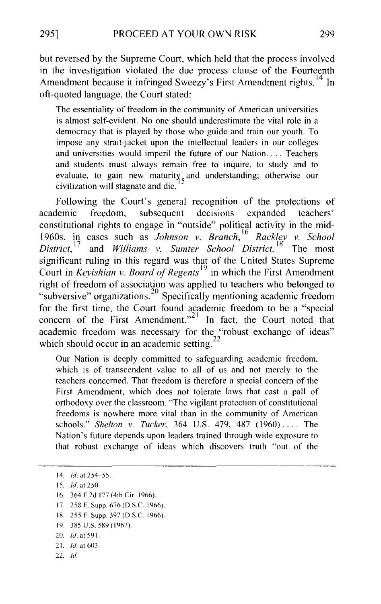but reversed by the Supreme Court, which held that the process involved in the investigation violated the due process clause of the Fourteenth Amendment because it infringed Sweezy's First Amendment rights.<sup>14</sup> In oft-quoted language, the Court stated:

The essentiality of freedom in the community of American universities is almost self-evident. No one should underestimate the vital role in a democracy that is played by those who guide and train our youth. To impose any strait-jacket upon the intellectual leaders in our colleges and universities would imperil the future of our Nation.... Teachers and students must always remain free to inquire, to study and to evaluate, to gain new maturity, and understanding; otherwise our civilization will stagnate and die. <sup>5</sup>

Following the Court's general recognition of the protections of academic freedom, subsequent decisions expanded teachers' constitutional rights to engage in "outside" political activity in the mid-1960s, in cases such as *Johnson v. Branch*, <sup>16</sup> Rackley v. School *District*.<sup>17</sup> and *Williams v. Sumter School District*.<sup>18</sup> The most and *Williams v. Sumter School District.* <sup>18</sup> The most significant ruling in this regard was that of the United States Supreme Court in *Keyishian v. Board of Regents* <sup>19</sup>in which the First Amendment right of freedom of association was applied to teachers who belonged to "subversive" organizations. 20 Specifically mentioning academic freedom for the first time, the Court found academic freedom to be a "special concern of the First Amendment."<sup>21</sup> In fact, the Court noted that academic freedom was necessary for the "robust exchange of ideas" which should occur in an academic setting.

Our Nation is deeply committed to safeguarding academic freedom, which is of transcendent value to all of us and not merely to the teachers concerned. That freedom is therefore a special concern of the First Amendment, which does not tolerate laws that cast a pall of orthodoxy over the classroom. "The vigilant protection of constitutional freedoms is nowhere more vital than in the community of American schools." *Shelton v. Tucker,* 364 U.S. 479, 487 (1960) .... The Nation's future depends upon leaders trained through wide exposure to that robust exchange of ideas which discovers truth "out of the

- 16. 364 F.2d 177 (4th Cir. 1966).
- 17. 258 F. Supp. 676 (D.S.C. 1966).
- 18. 255 F. Supp. 397 (D.S.C. 1966).
- 19. 385 U.S. 589 ( 1967).
- 20. *!d.* at 591.
- 21. *!d.* at 603.
- $22.$   $Id.$

<sup>14.</sup> *!d.* at 254-55.

<sup>15.</sup> *!d.* at 250.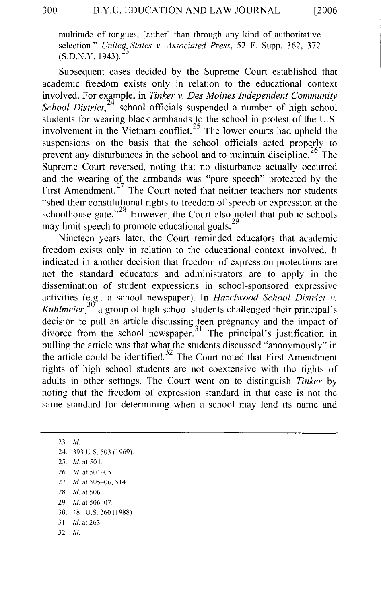multitude of tongues, [rather] than through any kind of authoritative selection." *United States v. Associated Press,* 52 F. Supp. 362, 372 (S.D.N.Y. 1943).

Subsequent cases decided by the Supreme Court established that academic freedom exists only in relation to the educational context involved. For example, in *Tinker v. Des Moines Independent Community School District*,<sup>24</sup> school officials suspended a number of high school students for wearing black armbands to the school in protest of the U.S. involvement in the Vietnam conflict.<sup>25</sup> The lower courts had upheld the suspensions on the basis that the school officials acted properly to prevent any disturbances in the school and to maintain discipline.  $26$  The Supreme Court reversed, noting that no disturbance actually occurred and the wearing of the armbands was "pure speech" protected by the First Amendment.<sup>27</sup> The Court noted that neither teachers nor students "shed their constitutional rights to freedom of speech or expression at the schoolhouse gate."<sup>28</sup> However, the Court also noted that public schools may limit speech to promote educational goals. $2^{\circ}$ 

Nineteen years later, the Court reminded educators that academic freedom exists only in relation to the educational context involved. It indicated in another decision that freedom of expression protections are not the standard educators and administrators are to apply in the dissemination of student expressions in school-sponsored expressive activities (e.g., a school newspaper). In *Hazelwood School District v*. *Kuhlmeier,* <sup>3</sup> a group of high school students challenged their principal's decision to pull an article discussing teen pregnancy and the impact of divorce from the school newspaper.<sup>31</sup> The principal's justification in pulling the article was that what the students discussed "anonymously" in the article could be identified.<sup>32</sup> The Court noted that First Amendment rights of high school students are not coextensive with the rights of adults in other settings. The Court went on to distinguish *Tinker* by noting that the freedom of expression standard in that case is not the same standard for determining when a school may lend its name and

23. *!d.*  24. 393 U S. 503 ( 1969). 25. *!d.* at 504. 26. *!d.* at 504-05. 27. *!d.* at 505-06, 514. 2X. *!d.* at 506. 29. */d.* at 506-07. 30. 484 U.S. 260 (1988) 31. *!d.* at 263. 32. *!d.*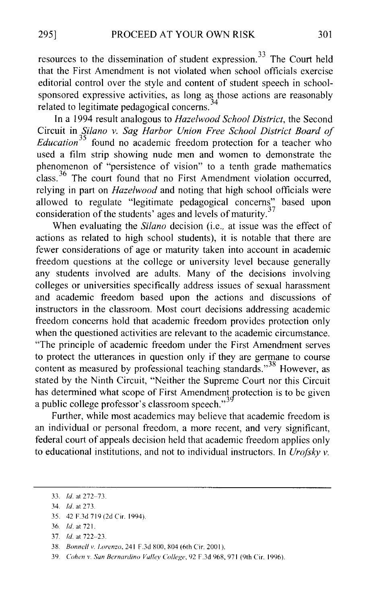resources to the dissemination of student expression. 33 The Court held that the First Amendment is not violated when school officials exercise editorial control over the style and content of student speech in schoolsponsored expressive activities, as long as those actions are reasonably related to legitimate pedagogical concerns.<sup>34</sup>

In a 1994 result analogous to *Hazelwood School District,* the Second Circuit in *Silano v. Sag Harbor Union Free School District Board of Education*<sup>35</sup> found no academic freedom protection for a teacher who used a film strip showing nude men and women to demonstrate the phenomenon of "persistence of vision" to a tenth grade mathematics class. 36 The court found that no First Amendment violation occurred, relying in part on *Hazelwood* and noting that high school officials were allowed to regulate "legitimate pedagogical concerns" based upon consideration of the students' ages and levels of maturity.<sup>37</sup>

When evaluating the *Silano* decision (i.e., at issue was the effect of actions as related to high school students), it is notable that there are fewer considerations of age or maturity taken into account in academic freedom questions at the college or university level because generally any students involved are adults. Many of the decisions involving colleges or universities specifically address issues of sexual harassment and academic freedom based upon the actions and discussions of instructors in the classroom. Most court decisions addressing academic freedom concerns hold that academic freedom provides protection only when the questioned activities are relevant to the academic circumstance. "The principle of academic freedom under the First Amendment serves to protect the utterances in question only if they are germane to course content as measured by professional teaching standards."<sup>38</sup> However, as stated by the Ninth Circuit, "Neither the Supreme Court nor this Circuit has determined what scope of First Amendment protection is to be given a public college professor's classroom speech."<sup>39</sup>

Further, while most academics may believe that academic freedom is an individual or personal freedom, a more recent, and very significant, federal court of appeals decision held that academic freedom applies only to educational institutions, and not to individual instructors. In *Urofsky v.* 

- 35. 42 F.3d 719 (2d Cir. 1994)
- 36. *!d.* at 721.
- 37. *Id.* at 722-23.
- 38. *Bonnell v. Lorenzo*, 241 F.3d 800, 804 (6th Cir. 2001).
- 39. *Cohen v. San Bernardino Valley College.* 92 F.3d 968,971 (9th Cir. 1996).

<sup>33.</sup> *!d.* at 272-73.

<sup>34.</sup> *!d.* at 273.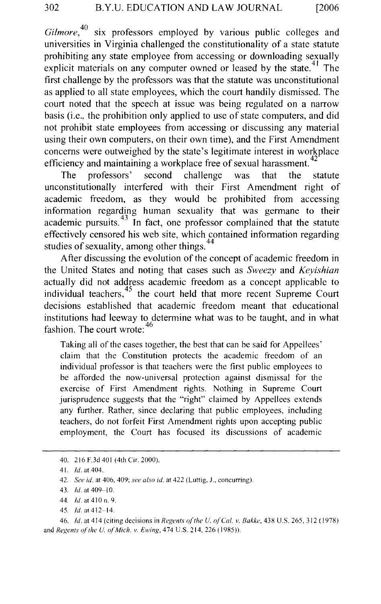*Gilmore,40* six professors employed by various public colleges and universities in Virginia challenged the constitutionality of a state statute prohibiting any state employee from accessing or downloading sexually explicit materials on any computer owned or leased by the state.<sup> $41$ </sup> The first challenge by the professors was that the statute was unconstitutional as applied to all state employees, which the court handily dismissed. The court noted that the speech at issue was being regulated on a narrow basis (i.e., the prohibition only applied to use of state computers, and did not prohibit state employees from accessing or discussing any material using their own computers, on their own time), and the First Amendment concerns were outweighed by the state's legitimate interest in workplace efficiency and maintaining a workplace free of sexual harassment.<sup>4</sup>

The professors' second challenge was that the statute unconstitutionally interfered with their First Amendment right of academic freedom, as they would be prohibited from accessing information regarding human sexuality that was germane to their academic pursuits.<sup>43</sup> In fact, one professor complained that the statute effectively censored his web site, which contained information regarding studies of sexuality, among other things.  $44$ 

After discussing the evolution of the concept of academic freedom in the United States and noting that cases such as *Sweezy* and *Keyishian*  actually did not address academic freedom as a concept applicable to individual teachers, $45$  the court held that more recent Supreme Court decisions established that academic freedom meant that educational institutions had leeway to determine what was to be taught, and in what fashion. The court wrote: 46

Taking all of the cases together, the best that can be said for Appellees' claim that the Constitution protects the academic freedom of an individual professor is that teachers were the first public employees to be afforded the now-universal protection against dismissal for the exercise of First Amendment rights. Nothing in Supreme Court jurisprudence suggests that the "right" claimed by Appellees extends any further. Rather, since declaring that public employees, including teachers, do not forfeit First Amendment rights upon accepting public employment, the Court has focused its discussions of academic

45. *!d.* at412-14.

46. *!d.* at 414 (citing decisions in *Regents o/the U. o/Cal. v. Bakke,* 438 U.S. 265, 312 ( 1978) and *Regents of the U. of Mich. v. Ewing*, 474 U.S. 214, 226 (1985)).

<sup>40. 216</sup>F.3d401 (4thCir.2000).

<sup>4</sup> I. *!d.* at 404.

<sup>42.</sup> *See id.* at 406, 409; *see also id.* at 422 (Luttig, J., concurring).

<sup>43.</sup> *!d.* at 409-10.

<sup>44.</sup> *!d.* at 410 n. 9.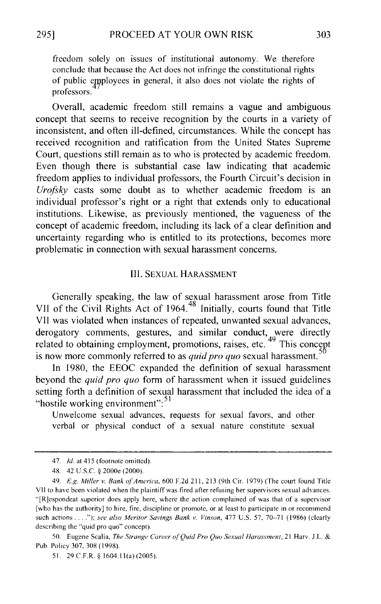freedom solely on issues of institutional autonomy. We therefore conclude that because the Act does not infringe the constitutional rights of public employees in general, it also does not violate the rights of professors.

Overall, academic freedom still remains a vague and ambiguous concept that seems to receive recognition by the courts in a variety of inconsistent, and often ill-defined, circumstances. While the concept has received recognition and ratification from the United States Supreme Court, questions still remain as to who is protected by academic freedom. Even though there is substantial case law indicating that academic freedom applies to individual professors, the Fourth Circuit's decision in *Urofsky* casts some doubt as to whether academic freedom is an individual professor's right or a right that extends only to educational institutions. Likewise, as previously mentioned, the vagueness of the concept of academic freedom, including its lack of a clear definition and uncertainty regarding who is entitled to its protections, becomes more problematic in connection with sexual harassment concerns.

#### III. SEXUAL HARASSMENT

Generally speaking, the law of sexual harassment arose from Title VII of the Civil Rights Act of 1964.<sup>48</sup> Initially, courts found that Title VII was violated when instances of repeated, unwanted sexual advances, derogatory comments, gestures, and similar conduct, were directly related to obtaining employment, promotions, raises, etc.  $49$  This concept is now more commonly referred to as *quid pro quo* sexual harassment. 5

In 1980, the EEOC expanded the definition of sexual harassment beyond the *quid pro quo* form of harassment when it issued guidelines setting forth a definition of sexual harassment that included the idea of a "hostile working environment":<sup>51</sup>

Unwelcome sexual advances, requests for sexual favors, and other verbal or physical conduct of a sexual nature constitute sexual

<sup>47.</sup> *!d.* at 415 (footnote omitted).

<sup>48. 42</sup> U.S.C. § 2000e (2000).

<sup>49.</sup> *E.g. Miller v. Bank of America,* 600 F.2d 21 I, 213 (9th Cir. 1979) (The court found Title VII to have been violated when the plaintiff was fired after refusing her supervisors sexual advances. "[R]espondeat superior does apply here, where the action complained of was that of a supervisor [who has the authority] to hire, fire, discipline or promote, or at least to participate in or recommend such actions .... "); *see also Meritor Savings Bank v. Vinson,* 477 U.S. 57, 70-71 (1986) (clearly describing the "quid pro quo" concept).

<sup>50.</sup> Eugene Scalia, *The Strange Career of Quid Pro Quo Sexual Harassment*, 21 Harv. J.L. & Pub. Policy 307, 308 ( 1998).

<sup>51. 29</sup> C.F.R. § 1604.11(a) (2005).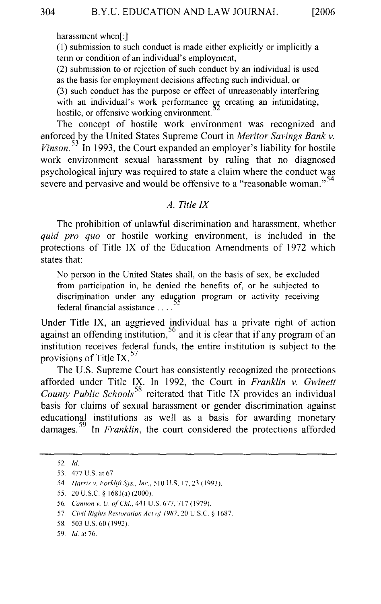harassment when[:]

( 1) submission to such conduct is made either explicitly or implicitly a term or condition of an individual's employment,

(2) submission to or rejection of such conduct by an individual is used as the basis for employment decisions affecting such individual, or (3) such conduct has the purpose or effect of unreasonably interfering with an individual's work performance or creating an intimidating, hostile, or offensive working environment.

The concept of hostile work environment was recognized and enforced by the United States Supreme Court in *Meritor Savings Bank v. Vinson.*<sup>53</sup> In 1993, the Court expanded an employer's liability for hostile work environment sexual harassment by ruling that no diagnosed psychological injury was required to state a claim where the conduct was severe and pervasive and would be offensive to a "reasonable woman."<sup>54</sup>

#### *A. Title IX*

The prohibition of unlawful discrimination and harassment, whether *quid pro quo* or hostile working environment, is included in the protections of Title IX of the Education Amendments of 1972 which states that:

No person in the United States shall, on the basis of sex, be excluded from participation in, be denied the benefits of, or be subjected to discrimination under any education program or activity receiving federal financial assistance ....

Under Title IX, an aggrieved individual has a private right of action against an offending institution,  $56$  and it is clear that if any program of an institution receives federal funds, the entire institution is subject to the provisions of Title IX.<sup>57</sup>

The U.S. Supreme Court has consistently recognized the protections afforded under Title IX. In 1992, the Court in *Franklin v. Gwinett*  **County Public Schools<sup>58</sup>** reiterated that Title IX provides an individual basis for claims of sexual harassment or gender discrimination against educational institutions as well as a basis for awarding monetary damages. 59 In *Franklin,* the court considered the protections afforded

<sup>52.</sup> *!d.* 

<sup>53. 477</sup> U.S. at 67.

<sup>54.</sup> *Harris v. ForkliftSvs .. lnc.,* 510 U.S. 17,23 (1993).

<sup>55. 20</sup> U.S.C. § 1681(a) (2000).

<sup>56.</sup> *Cannon v. U. of Chi.*, 441 U.S. 677, 717 (1979).

<sup>57.</sup> *Civil Rights Restoration Act of 1987*, 20 U.S.C. § 1687.

<sup>58. 503</sup> U.S. 60 (1992).

<sup>59.</sup> */d.* at 76.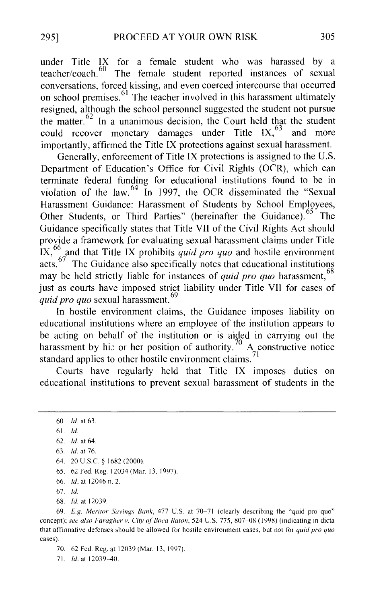under Title IX for a female student who was harassed by a  $\frac{60}{60}$  The female student reported instances of sexual conversations, forced kissing, and even coerced intercourse that occurred on school premises.<sup>61</sup> The teacher involved in this harassment ultimately resigned, although the school personnel suggested the student not pursue the matter.  $62 \text{ In a unanimous decision, the Court held that the student}$ could recover monetary damages under Title  $IX<sub>1</sub>$ <sup>63</sup> and more importantly, affirmed the Title IX protections against sexual harassment.

Generally, enforcement of Title IX protections is assigned to the U.S. Department of Education's Office for Civil Rights (OCR), which can terminate federal funding for educational institutions found to be in violation of the law.<sup>64</sup> In 1997, the OCR disseminated the "Sexual" Harassment Guidance: Harassment of Students by School Employees, Other Students, or Third Parties" (hereinafter the Guidance).<sup>65</sup> The Guidance specifically states that Title VII of the Civil Rights Act should provide a framework for evaluating sexual harassment claims under Title IX, 66 and that Title IX prohibits *quid pro quo* and hostile environment acts.  $67$  The Guidance also specifically notes that educational institutions may be held strictly liable for instances of *quid pro quo* harassment, <sup>68</sup> just as courts have imposed strict liability under Title VII for cases of *quid pro quo* sexual harassment.<sup>69</sup>

In hostile environment claims, the Guidance imposes liability on educational institutions where an employee of the institution appears to be acting on behalf of the institution or is aided in carrying out the harassment by hi: or her position of authority.<sup>70</sup> A constructive notice standard applies to other hostile environment claims.

Courts have regularly held that Title IX imposes duties on educational institutions to prevent sexual harassment of students in the

- 65. 62 Fed. Reg. 12034(Mar. 13, 1997).
- 66. *!d.* at 12046 n. 2.
- 67. *!d.*
- 68. *ld* at 12039.

69. *E.g. Meritor Savings Bank,* 477 U.S. at 70-71 (clearly describing the "quid pro quo" concept); see also Faragher v. City of Boca Raton, 524 U.S. 775, 807-08 (1998) (indicating in dicta that affirmative defenses should be allowed for hostile environment cases, but not for *quid pro quo*  cases).

70. 62 Fed. Reg. at 12039 (Mar. 13, 1997).

71. *!d.* at 12039-40.

<sup>60.</sup> *!d.* at 63.

<sup>61.</sup> *!d.* 

<sup>62.</sup> *!d.* at 64.

<sup>63.</sup> */d.* at 76.

<sup>64. 20</sup> U.S.C. § 1682 (2000).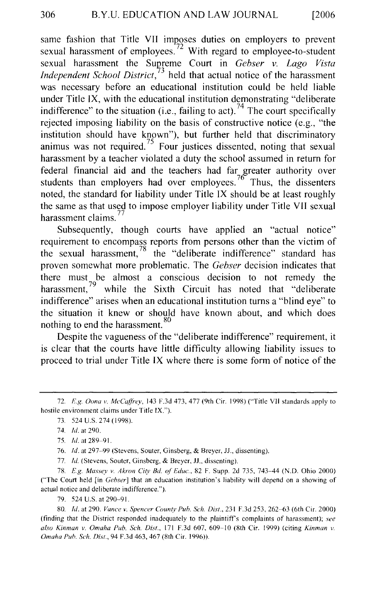same fashion that Title VII imposes duties on employers to prevent sexual harassment of employees.<sup>72</sup> With regard to employee-to-student sexual harassment the Supreme Court in *Gebser v. Lago Vista Independent School District,* 3 held that actual notice of the harassment was necessary before an educational institution could be held liable under Title IX, with the educational institution demonstrating "deliberate indifference" to the situation (i.e., failing to act).<sup>74</sup> The court specifically rejected imposing liability on the basis of constructive notice (e.g., "the institution should have known"), but further held that discriminatory animus was not required.<sup>75</sup> Four justices dissented, noting that sexual harassment by a teacher violated a duty the school assumed in return for federal financial aid and the teachers had far greater authority over students than employers had over employees.<sup>76</sup> Thus, the dissenters noted, the standard for liability under Title IX should be at least roughly the same as that used to impose employer liability under Title VII sexual  $\frac{32}{77}$  harassment claims.<sup>77</sup>

Subsequently, though courts have applied an "actual notice" requirement to encompass reports from persons other than the victim of the sexual harassment,  $\frac{8}{10}$  the "deliberate indifference" standard has proven somewhat more problematic. The *Gebser* decision indicates that there must be almost a conscious decision to not remedy the harassment,<sup>19</sup> while the Sixth Circuit has noted that "deliberate" indifference" arises when an educational institution turns a "blind eye" to the situation it knew or should have known about, and which does nothing to end the harassment. 80

Despite the vagueness of the "deliberate indifference" requirement, it is clear that the courts have little difficulty allowing liability issues to proceed to trial under Title IX where there is some form of notice of the

79. 524 U.S. at 290-91.

80. *!d.* at 290. *Vance* v. *Spencer County Pub. Sch. Dist.,* 231 F.3d 253, 262-63 (6th Cir. 2000) (finding that the District responded inadequately to the plaintiffs complaints of harassment); *see also Kinman v. Omaha Pub. Sch. Dist.,* 171 F.3d 607, 609-10 (8th Cir. 1999) (citing *Kinman v. Omaha Pub. Sch. !Jist.,* 94 F.3d 463,467 (8th Cir. 1996)).

<sup>72.</sup> *E.g. Oona v. McCaffrey,* 143 F.3d 473,477 (9th Cir. 1998) ('Title Vll standards apply to hostile environment claims under Title IX.").

<sup>73. 524</sup> U.S. 274 ( 1998).

<sup>74.</sup> *!d.* at 290.

<sup>75.</sup> *!d.* at 289-91.

<sup>76.</sup> *!d.* at 297-99 (Stevens, Souter, Ginsberg, & Breyer, JJ., dissenting).

<sup>77.</sup> *!d.* (Stevens, Souter, Ginsberg, & Breyer, JJ., dissenting).

<sup>78.</sup> *E.g. Massey v. Akron Ci(v Bd. of Educ.,* 82 F. Supp. 2d 735, 743-44 (N.D. Ohio 2000) ("The Court held [in *Gebser]* that an education institution's liability will depend on a showing of actual notice and deliberate indifference.").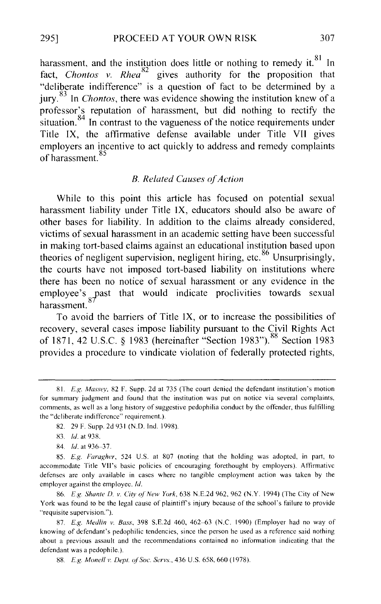harassment, and the institution does little or nothing to remedy it. $81$  In fact, *Chontos v. Rhea*<sup>o2</sup> gives authority for the proposition that "deliberate indifference" is a question of fact to be determined by a jury.<sup>83</sup> In *Chontos*, there was evidence showing the institution knew of a professor's reputation of harassment, but did nothing to rectify the situation.<sup>84</sup> In contrast to the vagueness of the notice requirements under Title IX, the affirmative defense available under Title VII gives employers an incentive to act quickly to address and remedy complaints of harassment.<sup>85</sup>

#### *B. Related Causes o\_fAction*

While to this point this article has focused on potential sexual harassment liability under Title IX, educators should also be aware of other bases for liability. In addition to the claims already considered, victims of sexual harassment in an academic setting have been successful in making tort-based claims against an educational institution based upon theories of negligent supervision, negligent hiring, etc.<sup>86</sup> Unsurprisingly, the courts have not imposed tort-based liability on institutions where there has been no notice of sexual harassment or any evidence in the employee's  $\frac{1}{87}$  ast that would indicate proclivities towards sexual harassment.

To avoid the barriers of Title IX, or to increase the possibilities of recovery, several cases impose liability pursuant to the Civil Rights Act of 1871, 42 U .S.C. § 1983 (hereinafter "Section 1983"). 88 Section 1983 provides a procedure to vindicate violation of federally protected rights,

86. *E.g Shante D. v. City of New York,* 638 N.E.2d 962, 962 (N.Y. 1994) (The City of New York was found to be the legal cause of plaintiffs injury because of the school's failure to provide "requisite supervision.").

87. *E.g. Medlin v. Bass,* 398 S.E.2d 460, 462-63 (N.C. 1990) (Employer had no way of knowing of defendant's pedophilic tendencies, since the person he used as a reference said nothing about a previous assault and the recommendations contained no information indicating that the defendant was a pedophile.).

88. *E.g. Monell v. Dept. of Soc. Servs.,* 436 U.S. 658, 660 ( 1978 ).

<sup>81.</sup> *E.g. Massey.* 82 F. Supp. 2d at 735 (The court denied the defendant institution's motion for summary judgment and found that the institution was put on notice via several complaints, comments, as well as a long history of suggestive pedophilia conduct by the offender, thus fulfilling the "deliberate indifference" requirement.).

<sup>82. 29</sup> F. Supp. 2d 931 (N.D. Ind. 1998).

<sup>83.</sup> */d.* at 938.

<sup>84.</sup> */d.* at 936--37.

<sup>85.</sup> *E.g. Faragher,* 524 U.S. at 807 (noting that the holding was adopted, in part, to accommodate Title VII's basic policies of encouraging forethought by employers). Atlirmative defenses are only available in cases where no tangible employment action was taken by the employer against the employee. *!d.*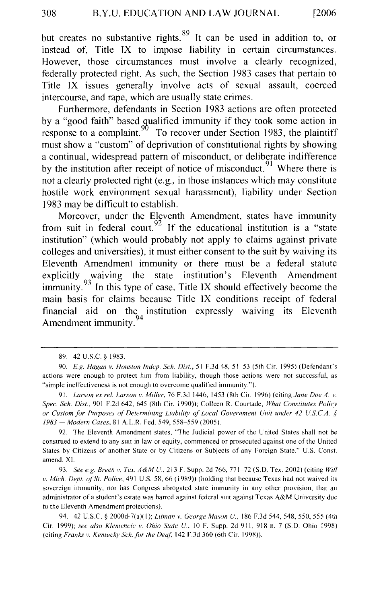but creates no substantive rights.<sup>89</sup> It can be used in addition to, or instead of, Title IX to impose liability in certain circumstances. However, those circumstances must involve a clearly recognized, federally protected right. As such, the Section 1983 cases that pertain to Title IX issues generally involve acts of sexual assault, coerced intercourse, and rape, which are usually state crimes.

Furthermore, defendants in Section 1983 actions are often protected by a "good faith" based qualified immunity if they took some action in response to a complaint.  $90\%$  To recover under Section 1983, the plaintiff must show a "custom" of deprivation of constitutional rights by showing a continual, widespread pattern of misconduct, or deliberate indifference by the institution after receipt of notice of misconduct.<sup>91</sup> Where there is not a clearly protected right (e.g., in those instances which may constitute hostile work environment sexual harassment), liability under Section 1983 may be difficult to establish.

Moreover, under the Eleventh Amendment, states have immunity from suit in federal court.<sup>92</sup> If the educational institution is a "state" institution" (which would probably not apply to claims against private colleges and universities), it must either consent to the suit by waiving its Eleventh Amendment immunity or there must be a federal statute explicitly waiving the state institution's Eleventh Amendment immunity.  $93$  In this type of case, Title IX should effectively become the main basis for claims because Title IX conditions receipt of federal financial aid on the institution expressly waiving its Eleventh  $A$  mancial and  $\frac{6}{94}$ <br>A mendment immunity.

94. 42 U.S.C. § 2000d-7(a)(1); *Litman v. George Mason U.*, 186 F.3d 544, 548, 550, 555 (4th Cir. 1999); *see also Klemencic v. Ohio State U.,* 10 F. Supp. 2d 91 I, 918 n. 7 (S.D. Ohio 1998) (citing *Franks v. Kentucky Sch. for the Deaf*, 142 F.3d 360 (6th Cir. 1998)).

<sup>89. 42</sup> U.S.C. § 1983.

<sup>90.</sup> *E.g. !lagan v. Houston lndep. Sch. Dist.,* 5 I F.3d 4X, 51-53 (5th Cir. I 995) (Defendant's actions were enough to protect him from liability, though those actions were not successful, as "simple ineffectiveness is not enough to overcome qualified immunity.").

<sup>91.</sup> *Larson ex rel. Larson v. Miller*, 76 F.3d 1446, 1453 (8th Cir. 1996) (citing *Jane Doe A. v. Spec. Sch. Dist., 901 F.2d 642, 645 (8th Cir. 1990)); Colleen R. Courtade, What Constitutes Policy or Custom for Purposes of Determining Liabili(v of' Local Government Unit under 42 U.S. CA. § 1983- Modern Cases,* 81 A.L.R. Fed. 549, 558-559 (2005).

<sup>92.</sup> The Eleventh Amendment states, "The Judicial power of the United States shall not be construed to extend to any suit in law or equity, commenced or prosecuted against one of the United States by Citizens of another State or by Citizens or Subjects of any Foreign State." U.S. Const. amend. XI.

<sup>93.</sup> *See e.g. Breen v. Tex. A&M U.,* 213 F. Supp. 2d 766, 771-72 (S.D. Tex. 2002) (citing *Will v. Mich. Dept. of'St. Police,* 491 U.S. 58,66 (1989)) (holding that because Texas had not waived its sovereign immunity, nor has Congress abrogated state immunity in any other provision, that an administrator of a student's estate was barred against federal suit against Texas A&M University due to the Eleventh Amendment protections).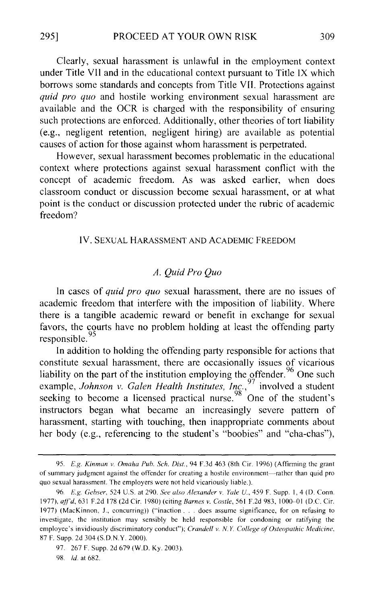Clearly, sexual harassment is unlawful in the employment context under Title VII and in the educational context pursuant to Title IX which borrows some standards and concepts from Title VII. Protections against *quid pro quo* and hostile working environment sexual harassment are available and the OCR is charged with the responsibility of ensuring such protections are enforced. Additionally, other theories of tort liability (e.g., negligent retention, negligent hiring) are available as potential causes of action for those against whom harassment is perpetrated.

However, sexual harassment becomes problematic in the educational context where protections against sexual harassment conflict with the concept of academic freedom. As was asked earlier, when does classroom conduct or discussion become sexual harassment, or at what point is the conduct or discussion protected under the rubric of academic freedom?

#### IV. SEXUAL HARASSMENT AND ACADEMIC FREEDOM

#### *A. Quid Pro Quo*

In cases of *quid pro quo* sexual harassment, there are no issues of academic freedom that interfere with the imposition of liability. Where there is a tangible academic reward or benefit in exchange for sexual favors, the courts have no problem holding at least the offending party responsible.

In addition to holding the offending party responsible for actions that constitute sexual harassment, there are occasionally issues of vicarious liability on the part of the institution employing the offender.<sup>96</sup> One such example, *Johnson v. Galen Health Institutes, Inc.*, <sup>97</sup> involved a student seeking to become a licensed practical nurse.  $98\degree$  One of the student's instructors began what became an increasingly severe pattern of harassment, starting with touching, then inappropriate comments about her body (e.g., referencing to the student's "boobies" and "cha-chas"),

<sup>95.</sup> *E.g. Kinman v. Omaha Pub. Sch. Dis/.,* 94 F.3d 463 (8th Cir. 1996) (Affirming the grant of summary judgment against the offender for creating a hostile environment-rather than quid pro quo sexual harassment. The employers were not held vicariously liable.).

<sup>96.</sup> *E.g. Gehser,* 524 U.S. at 290. *See also Alexander v. Yale* U., 459 F. Supp. I, 4 (D. Conn. 1977), *affd,* 631 F.2d 178 (2d Cir. 1980) (citing *Barnes v. Costle,* 561 F.2d 983, 1000-01 (D.C. Cir. 1977) (MacKinnon, J., concurring)) ("inaction ... does assume significance, for on refusing to investigate, the institution may sensibly be held responsible for condoning or ratifying the employee's invidiously discriminatory conduct"); *Crandell v. N.Y. College of Osteopathic Medicine,*  87 F. Supp. 2d 304 (S.D.N.Y. 2000).

<sup>97. 267</sup> F. Supp. 2d 679 (W.D. Ky. 2003).

<sup>98.</sup> *!d.* at 682.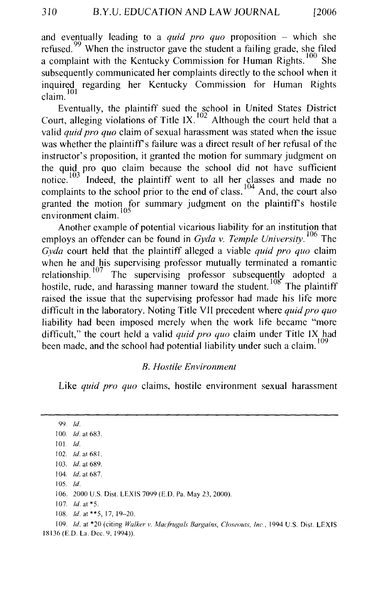and eventually leading to a *quid pro quo* proposition – which she refused.<sup>99</sup> When the instructor gave the student a failing grade, she filed a complaint with the Kentucky Commission for Human Rights.  $100$  She subsequently communicated her complaints directly to the school when it inquired regarding her Kentucky Commission for Human Rights claim.

Eventually, the plaintiff sued the school in United States District Court, alleging violations of Title IX.<sup>102</sup> Although the court held that a valid *quid pro quo* claim of sexual harassment was stated when the issue was whether the plaintiff's failure was a direct result of her refusal of the instructor's proposition, it granted the motion for summary judgment on the quid pro quo claim because the school did not have sufficient notice.  $103$  Indeed, the plaintiff went to all her classes and made no complaints to the school prior to the end of class. <sup>104</sup> And, the court also granted the motion for summary judgment on the plaintiffs hostile environment claim.<sup>105</sup>

Another example of potential vicarious liability for an institution that employs an offender can be found in *Gyda v. Temple University.* 106 The *Gyda* court held that the plaintiff alleged a viable *quid pro quo* claim when he and his supervising professor mutually terminated a romantic relationship.  $107$  The supervising professor subsequently adopted a hostile, rude, and harassing manner toward the student.  $108$  The plaintiff raised the issue that the supervising professor had made his life more difficult in the laboratory. Noting Title VII precedent where *quid pro quo*  liability had been imposed merely when the work life became "more difficult," the court held a valid *quid pro quo* claim under Title IX had been made, and the school had potential liability under such a claim.<sup>109</sup>

#### *B. Hostile Environment*

Like *quid pro quo* claims, hostile environment sexual harassment

99. *Id.* 100. *!d.* at 683. 101. *!d.*  I 02. *!d.* at 681. I 03. *!d.* at 689. I 04. *!d.* at 687. 105. *!d.*  106. 2000 U.S. Dist. LEXIS 7099 (E.D. Pa. May 23, 2000). 107. *!d.* at \*5. 108. *Id.* at \*\* 5, 17, 19–20.

109. *!d.* at \*20 (citing *Walker v. Mac(rugals Bargains. Closeouts, Inc.,* 1994 U.S. Dist. LEXIS 18136 (E.D. La. Dec. 9, 1994)).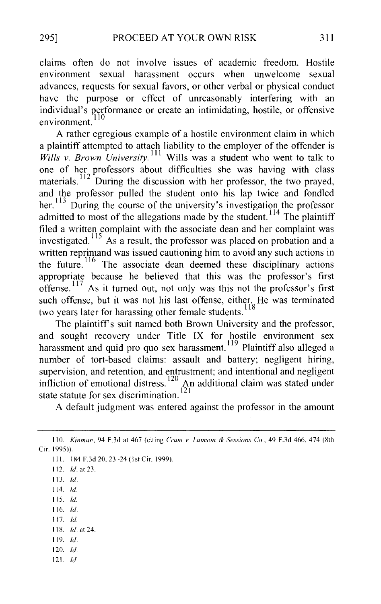claims often do not involve issues of academic freedom. Hostile environment sexual harassment occurs when unwelcome sexual advances, requests for sexual favors, or other verbal or physical conduct have the purpose or effect of unreasonably interfering with an individual's performance or create an intimidating, hostile, or offensive environment.

A rather egregious example of a hostile environment claim in which a plaintiff attempted to attach liability to the employer of the offender is *Wills v. Brown University*.<sup>111</sup> Wills was a student who went to talk to one of her professors about difficulties she was having with class materials.<sup>112</sup> During the discussion with her professor, the two prayed, and the professor pulled the student onto his lap twice and fondled her.  $\frac{113}{D}$  During the course of the university's investigation the professor admitted to most of the allegations made by the student.<sup>114</sup> The plaintiff filed a written complaint with the associate dean and her complaint was investigated.<sup>115</sup> As a result, the professor was placed on probation and a written reprimand was issued cautioning him to avoid any such actions in the future. <sup>116</sup> The associate dean deemed these disciplinary actions appropriate because he believed that this was the professor's first offense.<sup>117</sup> As it turned out, not only was this not the professor's first such offense, but it was not his last offense, either. He was terminated two years later for harassing other female students.<sup>118</sup>

The plaintiff's suit named both Brown University and the professor, and sought recovery under Title IX for hostile environment sex harassment and quid pro quo sex harassment.<sup>119</sup> Plaintiff also alleged a number of tort-based claims: assault and battery; negligent hiring, supervision, and retention, and entrustment; and intentional and negligent infliction of emotional distress.<sup>120</sup> An additional claim was stated under state statute for sex discrimination.<sup>121</sup>

A default judgment was entered against the professor in the amount

- 111. 184 F.3d 20, 23-24 (1st Cir. 1999).
- 112. */d.* at 23.
- 113. */d.*
- 114. *!d.*
- 115. */d.*
- 116. *!d.*  117. */d.*
- 118. *!d.* at 24.
- 119. */d.*
- 120. *!d.*
- 121. */d.*

<sup>110.</sup> *Kinman,* 94 F.3d at 467 (citing *Cram v. Lamson* & *Sessions Co.,* 49 F.3d 466, 474 (8th Cir. 1995)).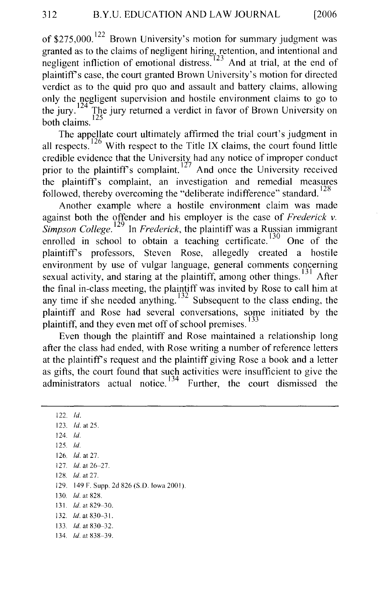of  $$275,000$ .<sup>122</sup> Brown University's motion for summary judgment was granted as to the claims of negligent hiring, retention, and intentional and negligent infliction of emotional distress.  $^{223}$  And at trial, at the end of plaintiff's case, the court granted Brown University's motion for directed verdict as to the quid pro quo and assault and battery claims, allowing only the negligent supervision and hostile environment claims to go to the jury. <sup>124</sup> The jury returned a verdict in favor of Brown University on  $\frac{125}{125}$ 

The appellate court ultimately affirmed the trial court's judgment in all respects.  $126$  With respect to the Title IX claims, the court found little credible evidence that the University had any notice of improper conduct prior to the plaintiff's complaint.<sup>127</sup> And once the University received the plaintiffs complaint, an investigation and remedial measures followed, thereby overcoming the "deliberate indifference" standard.  $^{128}$ 

Another example where a hostile environment claim was made against both the offender and his employer is the case of *Frederick v. Simpson College.* 129 In *Frederick,* the plaintiff was a Russian immigrant enrolled in school to obtain a teaching certificate.  $130$  One of the plaintiffs professors, Steven Rose, allegedly created a hostile environment by use of vulgar language, general comments concerning sexual activity, and staring at the plaintiff, among other things.<sup>131</sup> After the final in-class meeting, the plaintiff was invited by Rose to call him at any time if she needed anything.<sup>132</sup> Subsequent to the class ending, the plaintiff and Rose had several conversations, some initiated by the plaintiff, and they even met off of school premises.<sup>133</sup>

Even though the plaintiff and Rose maintained a relationship long after the class had ended, with Rose writing a number of reference letters at the plaintiffs request and the plaintiff giving Rose a book and a letter as gifts, the court found that such activities were insufficient to give the administrators actual notice.<sup>134</sup> Further, the court dismissed the

122. */d.*  123. *!d.* at 25. 124. *!d.*  125. *!d.*  126. *!d.* at 27. 127. */d.* at 26-27. 12g. */d.* at 27. 129. 149 F. Supp. 2d 826 (S.D. Iowa 200 I). 130. *!d.* at 828. 131. *!d.* at 829-30. 132. *!d.* at 830-31. 133. *!d.* at 830-32. 134. *!d.* at 838-39.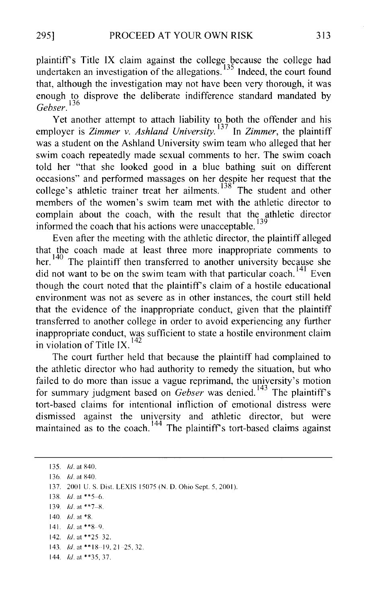plaintiffs Title IX claim against the college because the college had undertaken an investigation of the allegations.  $135$  Indeed, the court found that, although the investigation may not have been very thorough, it was enough to disprove the deliberate indifference standard mandated by *Gebser.* <sup>136</sup>

Yet another attempt to attach liability to both the offender and his employer is *Zimmer v. Ashland University*.<sup>137</sup> In *Zimmer*, the plaintiff was a student on the Ashland University swim team who alleged that her swim coach repeatedly made sexual comments to her. The swim coach told her "that she looked good in a blue bathing suit on different occasions" and performed massages on her despite her request that the college's athletic trainer treat her ailments.<sup>138</sup> The student and other members of the women's swim team met with the athletic director to complain about the coach, with the result that the athletic director informed the coach that his actions were unacceptable.

Even after the meeting with the athletic director, the plaintiff alleged that the coach made at least three more inappropriate comments to her.  $140$  The plaintiff then transferred to another university because she did not want to be on the swim team with that particular coach.<sup>141</sup> Even though the court noted that the plaintiff's claim of a hostile educational environment was not as severe as in other instances, the court still held that the evidence of the inappropriate conduct, given that the plaintiff transferred to another college in order to avoid experiencing any further inappropriate conduct, was sufficient to state a hostile environment claim in violation of Title IX.<sup>142</sup>

The court further held that because the plaintiff had complained to the athletic director who had authority to remedy the situation, but who failed to do more than issue a vague reprimand, the university's motion for summary judgment based on *Gebser* was denied.<sup>143</sup> The plaintiff's tort-based claims for intentional infliction of emotional distress were dismissed against the university and athletic director, but were maintained as to the coach.<sup>144</sup> The plaintiff's tort-based claims against

135. *!d.* at 840. 136. *!d.* at 840. 137. 2001 U.S. Dist. LEXIS 15075 (N.D. Ohio Sept. 5, 2001). 138. */d.* at \*\*5-6. 139. *!d.* at \*\*7-X. 140. *!d.* at \*8. 141.  $Id.$  at \*\*8-9. 142. *!d.* at \*\*25 32. 143. *Id.* at \*\* 18 - 19, 21 - 25, 32. 144. *!d.* at \*\*35, 37.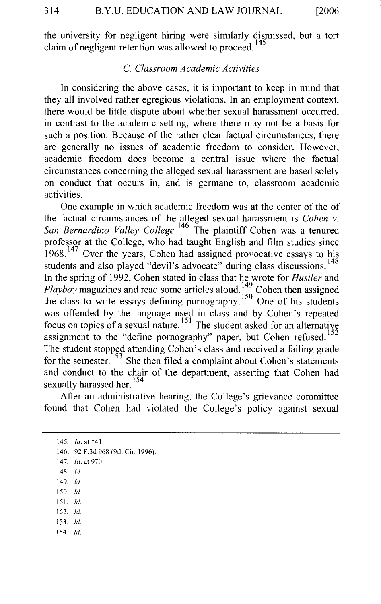the university for negligent hiring were similarly dismissed, but a tort claim of negligent retention was allowed to proceed.<sup>145</sup>

#### C. *Classroom Academic Activities*

In considering the above cases, it is important to keep in mind that they all involved rather egregious violations. In an employment context, there would be little dispute about whether sexual harassment occurred, in contrast to the academic setting, where there may not be a basis for such a position. Because of the rather clear factual circumstances, there are generally no issues of academic freedom to consider. However, academic freedom does become a central issue where the factual circumstances concerning the alleged sexual harassment are based solely on conduct that occurs in, and is germane to, classroom academic activities.

One example in which academic freedom was at the center of the of the factual circumstances of the alleged sexual harassment is *Cohen v. San Bernardino Valley College.* 146 The plaintiff Cohen was a tenured professor at the College, who had taught English and film studies since  $1968$ . 147 Over the years, Cohen had assigned provocative essays to his students and also played "devil's advocate" during class discussions.<sup>148</sup> In the spring of 1992, Cohen stated in class that he wrote for *Hustler* and *Playboy* magazines and read some articles aloud.  $^{149}_{12}$  Cohen then assigned the class to write essays defining pornography.<sup>150</sup> One of his students was offended by the language used in class and by Cohen's repeated focus on topics of a sexual nature. <sup>151</sup> The student asked for an alternative assignment to the "define pornography" paper, but Cohen refused.<sup>152</sup> The student stopped attending Cohen's class and received a failing grade for the semester.<sup>153</sup> She then filed a complaint about Cohen's statements and conduct to the chair of the department, asserting that Cohen had sexually harassed her.<sup>154</sup>

After an administrative hearing, the College's grievance committee found that Cohen had violated the College's policy against sexual

145. *!d.* at \*41. 146. 92 F.3d 968 (9th Cir. 1996). 147. *!d.* at 970. 148. *!d.*  149. *!d.*  150. *!d.*  151. *!d.*  152. *!d.*  153. *!d.*  154. *!d.*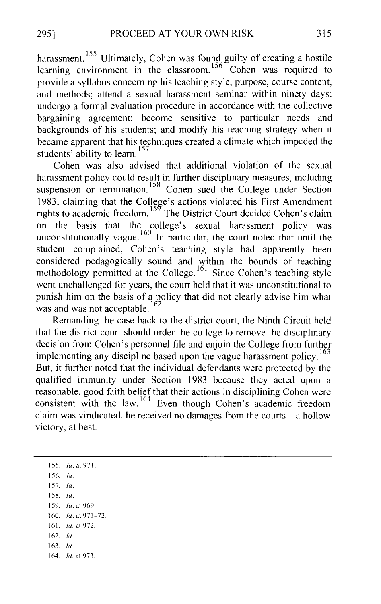harassment.<sup>155</sup> Ultimately, Cohen was found guilty of creating a hostile It is the learning environment in the classroom.<sup>156</sup> Cohen was required to provide a syllabus concerning his teaching style, purpose, course content, and methods; attend a sexual harassment seminar within ninety days; undergo a formal evaluation procedure in accordance with the collective bargaining agreement; become sensitive to particular needs and backgrounds of his students; and modify his teaching strategy when it became apparent that his techniques created a climate which impeded the students' ability to learn.<sup>157</sup>

Cohen was also advised that additional violation of the sexual harassment policy could result in further disciplinary measures, including suspension or termination.<sup>158</sup> Cohen sued the College under Section 1983, claiming that the College's actions violated his First Amendment rights to academic freedom.<sup>159</sup> The District Court decided Cohen's claim on the basis that the college's sexual harassment policy was unconstitutionally vague.  $\frac{160}{10}$  In particular, the court noted that until the student complained, Cohen's teaching style had apparently been considered pedagogically sound and within the bounds of teaching methodology permitted at the College.<sup>161</sup> Since Cohen's teaching style went unchallenged for years, the court held that it was unconstitutional to punish him on the basis of a policy that did not clearly advise him what was and was not acceptable.<sup>162</sup>

Remanding the case back to the district court, the Ninth Circuit held that the district court should order the college to remove the disciplinary decision from Cohen's personnel file and enjoin the College from further implementing any discipline based upon the vague harassment policy.<sup>163</sup> But, it further noted that the individual defendants were protected by the qualified immunity under Section 1983 because they acted upon a reasonable, good faith belief that their actions in disciplining Cohen were consistent with the law.  $164$  Even though Cohen's academic freedom claim was vindicated, he received no damages from the courts-a hollow victory, at best.

155. *!d.* at 971. 156. *!d.*  157. *!d.*  158. *!d.*  159. *!d.* at 969. 160. *!d.* at 971-72. 161 *!d.* at 972. 162. *!d.*  163. *!d.*  164. *!d.* at 973.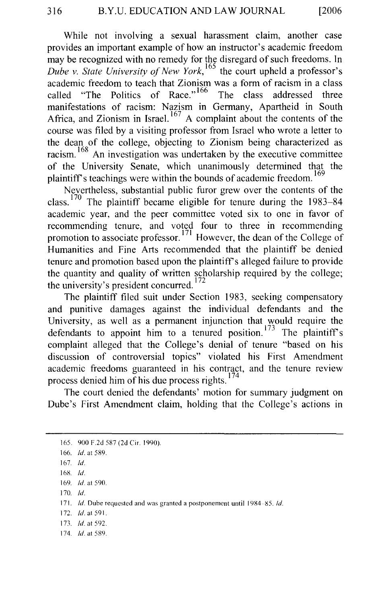While not involving a sexual harassment claim, another case provides an important example of how an instructor's academic freedom may be recognized with no remedy for the disregard of such freedoms. In *Dube v. State University of New York,* 165 the court upheld a professor's academic freedom to teach that Zionism was a form of racism in a class called "The Politics of Race."<sup>166</sup> The class addressed three manifestations of racism: Nazism in Germany, Apartheid in South Africa, and Zionism in Israel.  $167$  A complaint about the contents of the course was filed by a visiting professor from Israel who wrote a letter to the dean of the college, objecting to Zionism being characterized as racism. 168 An investigation was undertaken by the executive committee of the University Senate, which unanimously determined that the plaintiff's teachings were within the bounds of academic freedom.<sup>169</sup>

Nevertheless, substantial public furor grew over the contents of the class.  $170$  The plaintiff became eligible for tenure during the 1983–84 academic year, and the peer committee voted six to one in favor of recommending tenure, and voted four to three in recommending promotion to associate professor. 171 However, the dean of the College of Humanities and Fine Arts recommended that the plaintiff be denied tenure and promotion based upon the plaintiff's alleged failure to provide the quantity and quality of written scholarship required by the college; the university's president concurred.<sup>172</sup>

The plaintiff filed suit under Section 1983, seeking compensatory and punitive damages against the individual defendants and the University, as well as a permanent injunction that would require the defendants to appoint him to a tenured position.<sup>173</sup> The plaintiff's complaint alleged that the College's denial of tenure "based on his discussion of controversial topics" violated his First Amendment academic freedoms guaranteed in his contract, and the tenure review process denied him of his due process rights.  $174$ 

The court denied the defendants' motion for summary judgment on Dube's First Amendment claim, holding that the College's actions in

170. *!d.* 

- 172. *!d.* at 591.
- 173. *!d.* at 592.
- 174. *Id.* at 589.

<sup>165. 900</sup> F.2d 587 (2d Cir. 1990).

<sup>166.</sup> *!d.* at 589.

<sup>167.</sup> *!d.* 

<sup>168</sup> *!d.* 

<sup>169.</sup> *!d.* at 590.

<sup>171.</sup> *Id.* Dube requested and was granted a postponement until 1984-85. *Id.*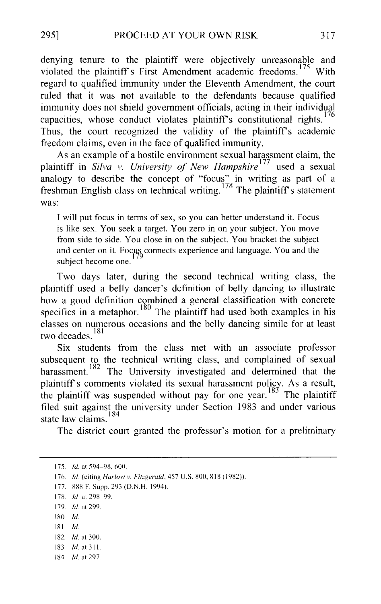denying tenure to the plaintiff were objectively unreasonable and violated the plaintiff's First Amendment academic freedoms.<sup>175</sup> With regard to qualified immunity under the Eleventh Amendment, the court ruled that it was not available to the defendants because qualified immunity does not shield government officials, acting in their individual capacities, whose conduct violates plaintiff's constitutional rights.  $176$ Thus, the court recognized the validity of the plaintiff's academic freedom claims, even in the face of qualified immunity.

As an example of a hostile environment sexual harassment claim, the plaintiff in *Silva v. University of New Hampshire*<sup>177</sup>used a sexual analogy to describe the concept of "focus" in writing as part of a freshman English class on technical writing.<sup>178</sup> The plaintiff's statement was:

I will put focus in terms of sex, so you can better understand it. Focus is like sex. You seek a target. You zero in on your subject. You move from side to side. You close in on the subject. You bracket the subject and center on it. Focus connects experience and language. You and the subject become one.

Two days later, during the second technical writing class, the plaintiff used a belly dancer's definition of belly dancing to illustrate how a good definition combined a general classification with concrete specifics in a metaphor.  $180$  The plaintiff had used both examples in his classes on numerous occasions and the belly dancing simile for at least two decades.<sup>181</sup>

Six students from the class met with an associate professor subsequent to the technical writing class, and complained of sexual harassment.<sup>182</sup> The University investigated and determined that the plaintiff's comments violated its sexual harassment policy. As a result, the plaintiff was suspended without pay for one year.<sup>183</sup> The plaintiff filed suit against the university under Section 1983 and under various  $\frac{184}{184}$  state law claims.

The district court granted the professor's motion for a preliminary

177. 888 F. Supp. 293 (D.N.H. 1994).

- I SO. *!d.*
- 181. *!d.*
- 182. *!d.* at 300.
- 183. *!d.* at 31 I.
- 184. *!d.* at 297.

<sup>175.</sup> *!d.* at 594-98, 600.

<sup>176.</sup> *Id.* (citing *Harlow v. Fitzgerald,* 457 U.S. 800, 818 (1982)).

<sup>17</sup>S. *!d.* at 298-99.

<sup>179.</sup> *!d.* at 299.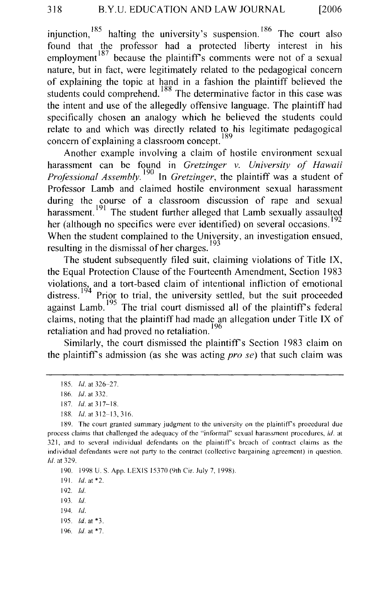injunction,  $185$  halting the university's suspension.  $186$  The court also found that the professor had a protected liberty interest in his employment  $187$  because the plaintiff's comments were not of a sexual nature, but in fact, were legitimately related to the pedagogical concern of explaining the topic at hand in a fashion the plaintiff believed the students could comprehend.<sup>188</sup> The determinative factor in this case was the intent and use of the allegedly offensive language. The plaintiff had specifically chosen an analogy which he believed the students could relate to and which was directly related to his legitimate pedagogical concern of explaining a classroom concept.  $189$ 

Another example involving a claim of hostile environment sexual harassment can be found in *Gretzinger v. University of Hawaii Professional Assembly.* <sup>190</sup> In *Gretzinger*, the plaintiff was a student of Professor Lamb and claimed hostile environment sexual harassment during the course of a classroom discussion of rape and sexual harassment.<sup>191</sup> The student further alleged that Lamb sexually assaulted her (although no specifics were ever identified) on several occasions.<sup>192</sup> When the student complained to the University, an investigation ensued, resulting in the dismissal of her charges.

The student subsequently filed suit, claiming violations of Title IX, the Equal Protection Clause of the Fourteenth Amendment, Section 1983 violations, and a tort-based claim of intentional infliction of emotional distress.<sup>194</sup> Prior to trial, the university settled, but the suit proceeded  $a$ gainst Lamb.  $195$  The trial court dismissed all of the plaintiff's federal claims, noting that the plaintiff had made an allegation under Title IX of retaliation and had proved no retaliation.<sup>196</sup>

Similarly, the court dismissed the plaintiff's Section 1983 claim on the plaintiff's admission (as she was acting *pro se)* that such claim was

191. *!d.* at \*2.

192. *!d.* 

193. */d.* 

194. *!d.* 

195. *!d.* at \*3.

196. *!d.* at \*7.

<sup>185.</sup> *!d.* at 326-27.

I 86. *!d.* at 332.

<sup>187.</sup> *!d.* at 317-18.

<sup>188.</sup> *Id.* at 312-13, 316.

<sup>189.</sup> The court granted summary judgment to the university on the plaintiff's procedural due process claims that challenged the adequacy of the "informal" sexual harassment procedures, *id.* at 321, and to several individual defendants on the plaintiff's breach of contract claims as the individual defendants were not party to the contract (collective bargaining agreement) in question. *!d.* at 329.

<sup>190. 1998</sup> U.S. App. LEX IS 15370 (9th Cir. July 7, !998).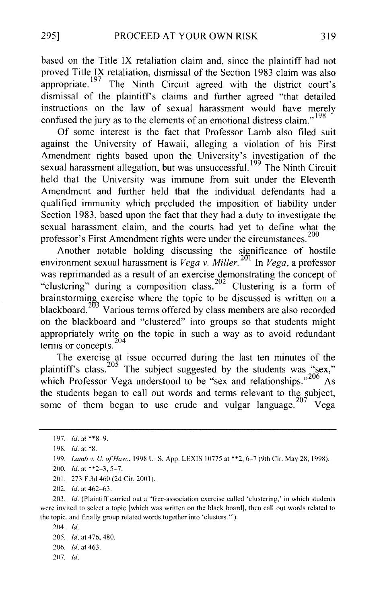based on the Title IX retaliation claim and, since the plaintiff had not proved Title IX retaliation, dismissal of the Section 1983 claim was also appropriate.  $197$  The Ninth Circuit agreed with the district court's dismissal of the plaintiffs claims and further agreed "that detailed instructions on the law of sexual harassment would have merely confused the jury as to the elements of an emotional distress claim."<sup>198</sup>

Of some interest is the fact that Professor Lamb also filed suit against the University of Hawaii, alleging a violation of his First Amendment rights based upon the University's investigation of the sexual harassment allegation, but was unsuccessful.<sup>199</sup> The Ninth Circuit held that the University was immune from suit under the Eleventh Amendment and further held that the individual defendants had a qualified immunity which precluded the imposition of liability under Section 1983, based upon the fact that they had a duty to investigate the sexual harassment claim, and the courts had yet to define what the professor's First Amendment rights were under the circumstances.<sup>200</sup>

Another notable holding discussing the significance of hostile environment sexual harassment is *Vega v. Miller.*<sup>201</sup> In *Vega*, a professor was reprimanded as a result of an exercise demonstrating the concept of "clustering" during a composition class.<sup>202</sup> Clustering is a form of brainstorming exercise where the topic to be discussed is written on a blackboard.  $203 \text{ Various terms offered by class members are also recorded}$ on the blackboard and "clustered" into groups so that students might appropriately write on the topic in such a way as to avoid redundant terms or concepts.<sup>204</sup>

The exercise at issue occurred during the last ten minutes of the plaintiff's class.<sup>205</sup> The subject suggested by the students was "sex," which Professor Vega understood to be "sex and relationships."<sup>206</sup> As the students began to call out words and terms relevant to the subject, some of them began to use crude and vulgar language.  $207 \text{ Vega}$ 

204. *!d.*  205. *Id.* at 476, 480. 206. *!d.* at 463.

207. *!d.* 

<sup>197.</sup> *!d.* at \*\*8~9.

<sup>198.</sup> *!d.* at \*8.

<sup>199.</sup> *Lamh v. U. of Haw.,* 1998 U.S. App. LEX IS I 0775 at \*\*2, 6~7 (9th Cir. May 28, 1998).

<sup>200.</sup> *!d.* at \*\*2-3, 5-7.

<sup>201. 273</sup> F.3d 460 (2d Cir. 2001).

<sup>202.</sup> *!d.* at 462-63.

<sup>203.</sup> *!d.* (Plaintiff carried out a "free-association exercise called 'clustering,' in which students were invited to select a topic [which was written on the black board], then call out words related to the topic, and finally group related words together into 'clusters.'").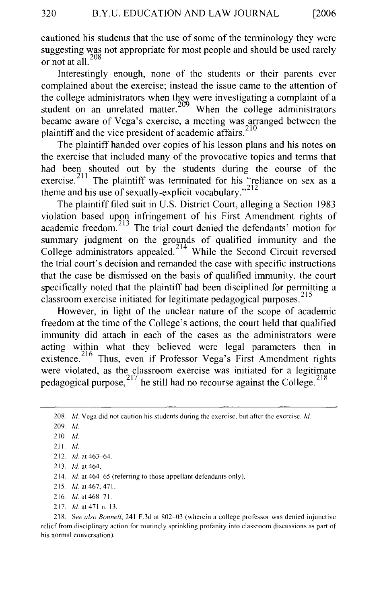cautioned his students that the use of some of the terminology they were suggesting was not appropriate for most people and should be used rarely or not at all. <sup>208</sup>

Interestingly enough, none of the students or their parents ever complained about the exercise; instead the issue came to the attention of the college administrators when they were investigating a complaint of a student on an unrelated matter. <sup>209</sup> When the college administrators became aware of Vega's exercise, a meeting was arranged between the plaintiff and the vice president of academic affairs.<sup>210</sup>

The plaintiff handed over copies of his lesson plans and his notes on the exercise that included many of the provocative topics and terms that had been shouted out by the students during the course of the exercise.<sup>211</sup> The plaintiff was terminated for his "reliance on sex as a theme and his use of sexually-explicit vocabulary."<sup>212</sup>

The plaintiff filed suit in U.S. District Court, alleging a Section 1983 violation based upon infringement of his First Amendment rights of academic freedom. 213 The trial court denied the defendants' motion for summary judgment on the grounds of qualified immunity and the College administrators appealed.<sup>214</sup> While the Second Circuit reversed the trial court's decision and remanded the case with specific instructions that the case be dismissed on the basis of qualified immunity, the court specifically noted that the plaintiff had been disciplined for permitting a classroom exercise initiated for legitimate pedagogical purposes.<sup>215</sup>

However, in light of the unclear nature of the scope of academic freedom at the time of the College's actions, the court held that qualified immunity did attach in each of the cases as the administrators were acting within what they believed were legal parameters then in existence.<sup>216</sup> Thus, even if Professor Vega's First Amendment rights were violated, as the classroom exercise was initiated for a legitimate pedagogical purpose,  $^{217}$  he still had no recourse against the College.  $^{218}$ 

217. *!d.* at471 n. 13.

218. See also Bonnell, 241 F.3d at 802-03 (wherein a college professor was denied injunctive relief from disciplinary action for routinely sprinkling profanity into classroom discussions as part of his normal conversation).

<sup>208.</sup> *!d.* Vega did not caution his students during the exercise, but after the exercise. */d.* 

<sup>209.</sup> */d.* 

<sup>210.</sup> *!d.* 

<sup>211.</sup> *!d.* 

<sup>212.</sup> *!d.* at 463-64.

<sup>213.</sup> *Id.* at 464.

<sup>214.</sup> *!d.* at 464-65 (referring to those appellant defendants only).

<sup>215.</sup> *!d.* at467. 471.

<sup>216.</sup> *!d.* at 468-71.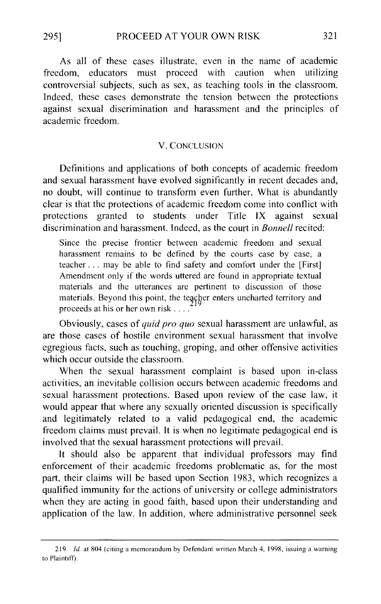As all of these cases illustrate, even in the name of academic freedom, educators must proceed with caution when utilizing controversial subjects, such as sex, as teaching tools in the classroom. Indeed, these cases demonstrate the tension between the protections against sexual discrimination and harassment and the principles of academic freedom.

#### V. CONCLUSION

Definitions and applications of both concepts of academic freedom and sexual harassment have evolved significantly in recent decades and, no doubt, will continue to transform even further. What is abundantly clear is that the protections of academic freedom come into conflict with protections granted to students under Title IX against sexual discrimination and harassment. Indeed, as the court in *Bonnell* recited:

Since the precise frontier between academic freedom and sexual harassment remains to be defined by the courts case by case, a teacher ... may be able to find safety and comfort under the [First] Amendment only if the words uttered are found in appropriate textual materials and the utterances are pertinent to discussion of those materials. Beyond this point, the teacher enters uncharted territory and proceeds at his or her own risk ....

Obviously, cases of *quid pro quo* sexual harassment are unlawful, as are those cases of hostile environment sexual harassment that involve egregious facts, such as touching, groping, and other offensive activities which occur outside the classroom.

When the sexual harassment complaint is based upon in-class activities, an inevitable collision occurs between academic freedoms and sexual harassment protections. Based upon review of the case law, it would appear that where any sexually oriented discussion is specifically and legitimately related to a valid pedagogical end, the academic freedom claims must prevail. It is when no legitimate pedagogical end is involved that the sexual harassment protections will prevail.

It should also be apparent that individual professors may find enforcement of their academic freedoms problematic as, for the most part, their claims will be based upon Section 1983, which recognizes a qualified immunity for the actions of university or college administrators when they are acting in good faith, based upon their understanding and application of the law. In addition, where administrative personnel seek

<sup>219.</sup> *!d.* at 804 (citing a memorandum by Defendant written March 4, 1998, issuing a warning to Plaintiff).